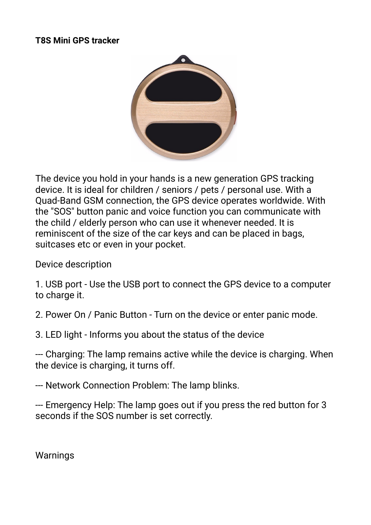#### **Τ8S Mini GPS tracker**



The device you hold in your hands is a new generation GPS tracking device. It is ideal for children / seniors / pets / personal use. With a Quad-Band GSM connection, the GPS device operates worldwide. With the "SOS" button panic and voice function you can communicate with the child / elderly person who can use it whenever needed. It is reminiscent of the size of the car keys and can be placed in bags, suitcases etc or even in your pocket.

Device description

1. USB port - Use the USB port to connect the GPS device to a computer to charge it.

2. Power On / Panic Button - Turn on the device or enter panic mode.

3. LED light - Informs you about the status of the device

--- Charging: The lamp remains active while the device is charging. When the device is charging, it turns off.

--- Network Connection Problem: The lamp blinks.

--- Emergency Help: The lamp goes out if you press the red button for 3 seconds if the SOS number is set correctly.

**Warnings**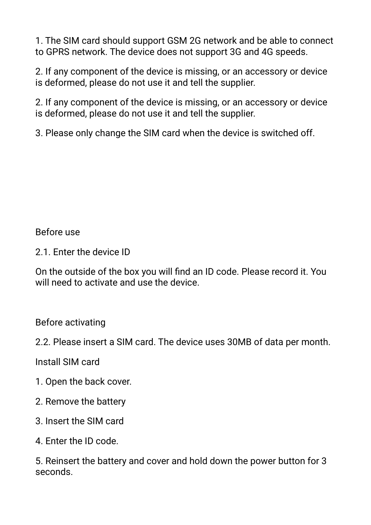1. The SIM card should support GSM 2G network and be able to connect to GPRS network. The device does not support 3G and 4G speeds.

2. If any component of the device is missing, or an accessory or device is deformed, please do not use it and tell the supplier.

2. If any component of the device is missing, or an accessory or device is deformed, please do not use it and tell the supplier.

3. Please only change the SIM card when the device is switched off.

Before use

2.1. Enter the device ID

On the outside of the box you will find an ID code. Please record it. You will need to activate and use the device.

Before activating

2.2. Please insert a SIM card. The device uses 30MB of data per month.

Install SIM card

- 1. Open the back cover.
- 2. Remove the battery
- 3. Insert the SIM card
- 4. Enter the ID code.

5. Reinsert the battery and cover and hold down the power button for 3 seconds.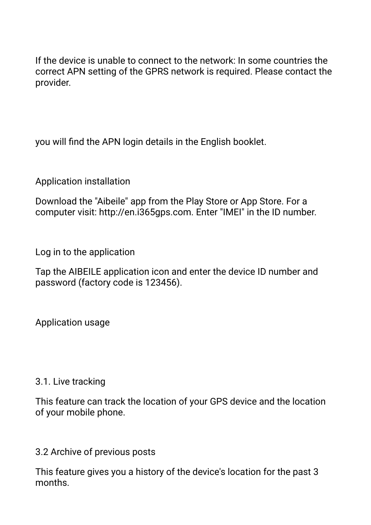If the device is unable to connect to the network: In some countries the correct APN setting of the GPRS network is required. Please contact the provider.

you will find the APN login details in the English booklet.

Application installation

Download the "Aibeile" app from the Play Store or App Store. For a computer visit: http://en.i365gps.com. Enter "IMEI" in the ID number.

Log in to the application

Tap the AIBEILE application icon and enter the device ID number and password (factory code is 123456).

Application usage

### 3.1. Live tracking

This feature can track the location of your GPS device and the location of your mobile phone.

3.2 Archive of previous posts

This feature gives you a history of the device's location for the past 3 months.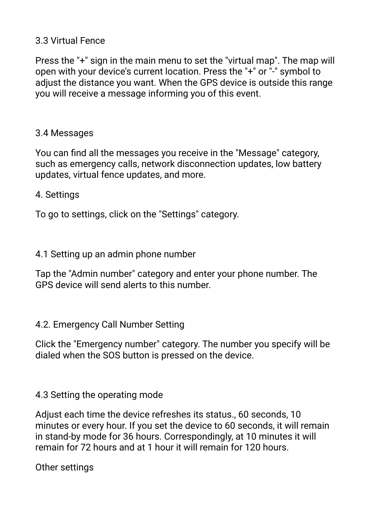# 3.3 Virtual Fence

Press the "+" sign in the main menu to set the "virtual map". The map will open with your device's current location. Press the "+" or "-" symbol to adjust the distance you want. When the GPS device is outside this range you will receive a message informing you of this event.

## 3.4 Messages

You can find all the messages you receive in the "Message" category, such as emergency calls, network disconnection updates, low battery updates, virtual fence updates, and more.

### 4. Settings

To go to settings, click on the "Settings" category.

## 4.1 Setting up an admin phone number

Tap the "Admin number" category and enter your phone number. The GPS device will send alerts to this number.

## 4.2. Emergency Call Number Setting

Click the "Emergency number" category. The number you specify will be dialed when the SOS button is pressed on the device.

## 4.3 Setting the operating mode

Adjust each time the device refreshes its status., 60 seconds, 10 minutes or every hour. If you set the device to 60 seconds, it will remain in stand-by mode for 36 hours. Correspondingly, at 10 minutes it will remain for 72 hours and at 1 hour it will remain for 120 hours.

Other settings